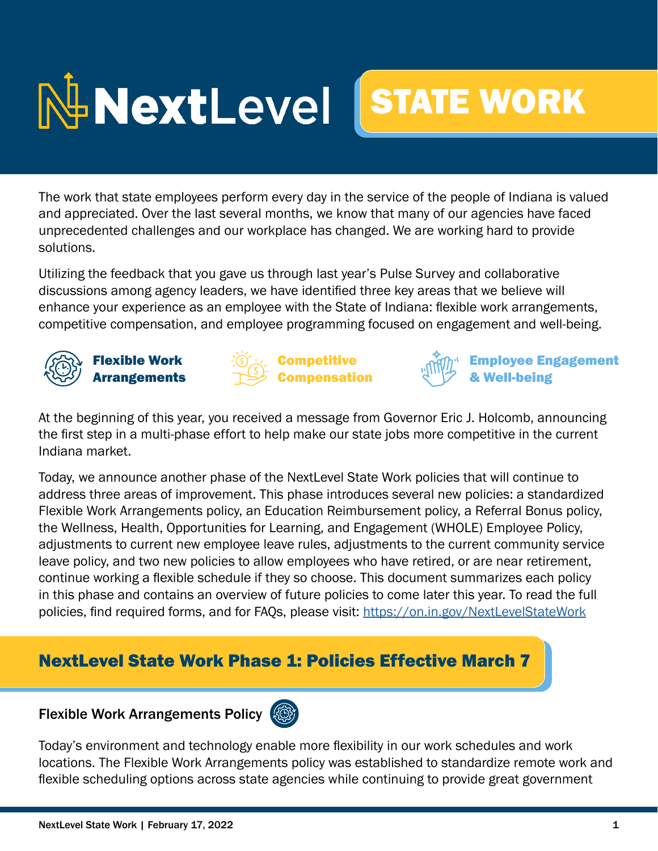

The work that state employees perform every day in the service of the people of Indiana is valued and appreciated. Over the last several months, we know that many of our agencies have faced unprecedented challenges and our workplace has changed. We are working hard to provide solutions.

Utilizing the feedback that you gave us through last year's Pulse Survey and collaborative discussions among agency leaders, we have identified three key areas that we believe will enhance your experience as an employee with the State of Indiana: flexible work arrangements, competitive compensation, and employee programming focused on engagement and well-being.



Flexible Work **Arrangements** 





Employee Engagement **Nell-being** 

At the beginning of this year, you received a message from Governor Eric J. Holcomb, announcing the first step in a multi-phase effort to help make our state jobs more competitive in the current Indiana market.

Today, we announce another phase of the NextLevel State Work policies that will continue to address three areas of improvement. This phase introduces several new policies: a standardized Flexible Work Arrangements policy, an Education Reimbursement policy, a Referral Bonus policy, the Wellness, Health, Opportunities for Learning, and Engagement (WHOLE) Employee Policy, adjustments to current new employee leave rules, adjustments to the current community service leave policy, and two new policies to allow employees who have retired, or are near retirement, continue working a flexible schedule if they so choose. This document summarizes each policy in this phase and contains an overview of future policies to come later this year. To read the full policies, find required forms, and for FAQs, please visit: https://on.in.gov/NextLevelStateWork

# NextLevel State Work Phase 1: Policies Effective March 7

# Flexible Work Arrangements Policy

Today's environment and technology enable more flexibility in our work schedules and work locations. The Flexible Work Arrangements policy was established to standardize remote work and flexible scheduling options across state agencies while continuing to provide great government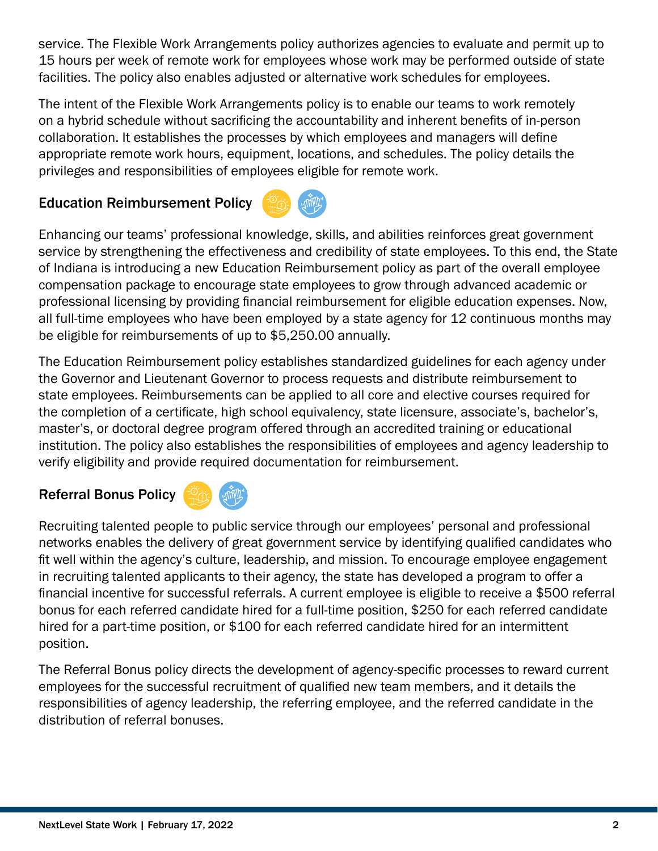service. The Flexible Work Arrangements policy authorizes agencies to evaluate and permit up to 15 hours per week of remote work for employees whose work may be performed outside of state facilities. The policy also enables adjusted or alternative work schedules for employees.

The intent of the Flexible Work Arrangements policy is to enable our teams to work remotely on a hybrid schedule without sacrificing the accountability and inherent benefits of in-person collaboration. It establishes the processes by which employees and managers will define appropriate remote work hours, equipment, locations, and schedules. The policy details the privileges and responsibilities of employees eligible for remote work.

### Education Reimbursement Policy



Enhancing our teams' professional knowledge, skills, and abilities reinforces great government service by strengthening the effectiveness and credibility of state employees. To this end, the State of Indiana is introducing a new Education Reimbursement policy as part of the overall employee compensation package to encourage state employees to grow through advanced academic or professional licensing by providing financial reimbursement for eligible education expenses. Now, all full-time employees who have been employed by a state agency for 12 continuous months may be eligible for reimbursements of up to \$5,250.00 annually.

The Education Reimbursement policy establishes standardized guidelines for each agency under the Governor and Lieutenant Governor to process requests and distribute reimbursement to state employees. Reimbursements can be applied to all core and elective courses required for the completion of a certificate, high school equivalency, state licensure, associate's, bachelor's, master's, or doctoral degree program offered through an accredited training or educational institution. The policy also establishes the responsibilities of employees and agency leadership to verify eligibility and provide required documentation for reimbursement.

#### Referral Bonus Policy



Recruiting talented people to public service through our employees' personal and professional networks enables the delivery of great government service by identifying qualified candidates who fit well within the agency's culture, leadership, and mission. To encourage employee engagement in recruiting talented applicants to their agency, the state has developed a program to offer a financial incentive for successful referrals. A current employee is eligible to receive a \$500 referral bonus for each referred candidate hired for a full-time position, \$250 for each referred candidate hired for a part-time position, or \$100 for each referred candidate hired for an intermittent position.

The Referral Bonus policy directs the development of agency-specific processes to reward current employees for the successful recruitment of qualified new team members, and it details the responsibilities of agency leadership, the referring employee, and the referred candidate in the distribution of referral bonuses.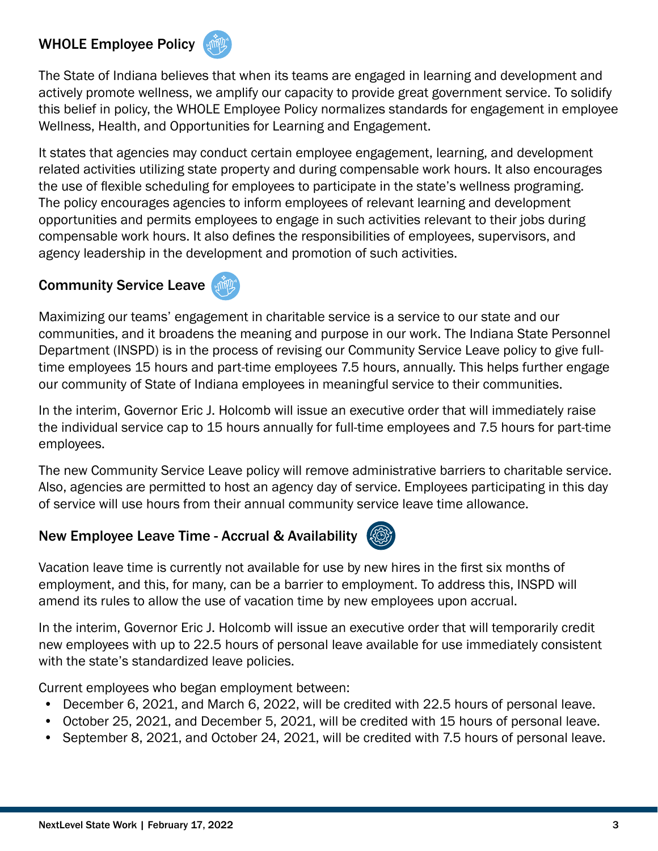#### WHOLE Employee Policy



The State of Indiana believes that when its teams are engaged in learning and development and actively promote wellness, we amplify our capacity to provide great government service. To solidify this belief in policy, the WHOLE Employee Policy normalizes standards for engagement in employee Wellness, Health, and Opportunities for Learning and Engagement.

It states that agencies may conduct certain employee engagement, learning, and development related activities utilizing state property and during compensable work hours. It also encourages the use of flexible scheduling for employees to participate in the state's wellness programing. The policy encourages agencies to inform employees of relevant learning and development opportunities and permits employees to engage in such activities relevant to their jobs during compensable work hours. It also defines the responsibilities of employees, supervisors, and agency leadership in the development and promotion of such activities.

#### Community Service Leave



Maximizing our teams' engagement in charitable service is a service to our state and our communities, and it broadens the meaning and purpose in our work. The Indiana State Personnel Department (INSPD) is in the process of revising our Community Service Leave policy to give fulltime employees 15 hours and part-time employees 7.5 hours, annually. This helps further engage our community of State of Indiana employees in meaningful service to their communities.

In the interim, Governor Eric J. Holcomb will issue an executive order that will immediately raise the individual service cap to 15 hours annually for full-time employees and 7.5 hours for part-time employees.

The new Community Service Leave policy will remove administrative barriers to charitable service. Also, agencies are permitted to host an agency day of service. Employees participating in this day of service will use hours from their annual community service leave time allowance.

### New Employee Leave Time - Accrual & Availability



Vacation leave time is currently not available for use by new hires in the first six months of employment, and this, for many, can be a barrier to employment. To address this, INSPD will amend its rules to allow the use of vacation time by new employees upon accrual.

In the interim, Governor Eric J. Holcomb will issue an executive order that will temporarily credit new employees with up to 22.5 hours of personal leave available for use immediately consistent with the state's standardized leave policies.

Current employees who began employment between:

- December 6, 2021, and March 6, 2022, will be credited with 22.5 hours of personal leave.
- October 25, 2021, and December 5, 2021, will be credited with 15 hours of personal leave.
- September 8, 2021, and October 24, 2021, will be credited with 7.5 hours of personal leave.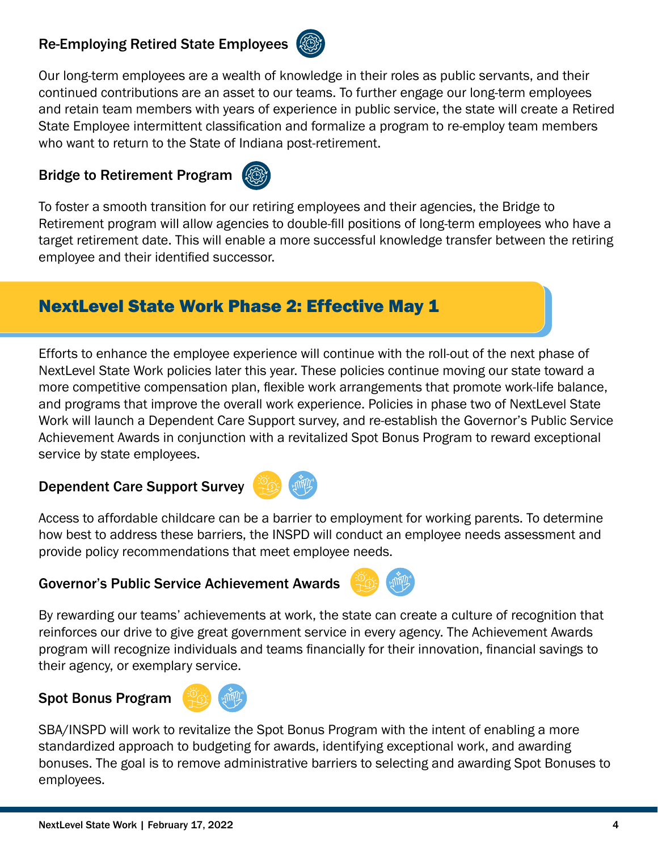#### Re-Employing Retired State Employees



Our long-term employees are a wealth of knowledge in their roles as public servants, and their continued contributions are an asset to our teams. To further engage our long-term employees and retain team members with years of experience in public service, the state will create a Retired State Employee intermittent classification and formalize a program to re-employ team members who want to return to the State of Indiana post-retirement.

#### Bridge to Retirement Program



To foster a smooth transition for our retiring employees and their agencies, the Bridge to Retirement program will allow agencies to double-fill positions of long-term employees who have a target retirement date. This will enable a more successful knowledge transfer between the retiring employee and their identified successor.

## NextLevel State Work Phase 2: Effective May 1

Efforts to enhance the employee experience will continue with the roll-out of the next phase of NextLevel State Work policies later this year. These policies continue moving our state toward a more competitive compensation plan, flexible work arrangements that promote work-life balance, and programs that improve the overall work experience. Policies in phase two of NextLevel State Work will launch a Dependent Care Support survey, and re-establish the Governor's Public Service Achievement Awards in conjunction with a revitalized Spot Bonus Program to reward exceptional service by state employees.

Dependent Care Support Survey



Access to affordable childcare can be a barrier to employment for working parents. To determine how best to address these barriers, the INSPD will conduct an employee needs assessment and provide policy recommendations that meet employee needs.

#### Governor's Public Service Achievement Awards



By rewarding our teams' achievements at work, the state can create a culture of recognition that reinforces our drive to give great government service in every agency. The Achievement Awards program will recognize individuals and teams financially for their innovation, financial savings to their agency, or exemplary service.

#### Spot Bonus Program



SBA/INSPD will work to revitalize the Spot Bonus Program with the intent of enabling a more standardized approach to budgeting for awards, identifying exceptional work, and awarding bonuses. The goal is to remove administrative barriers to selecting and awarding Spot Bonuses to employees.